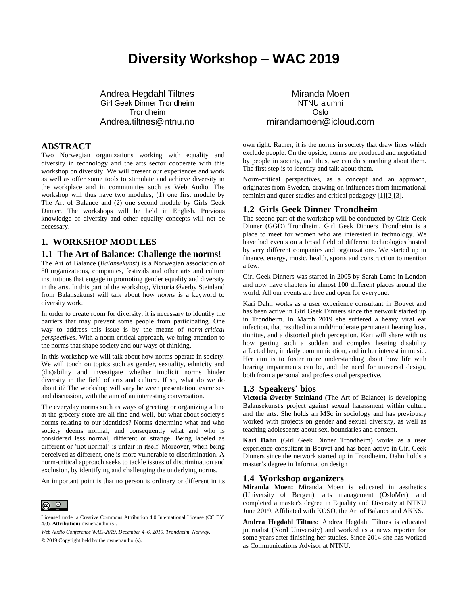# **Diversity Workshop – WAC 2019**

Andrea Hegdahl Tiltnes Girl Geek Dinner Trondheim Trondheim Andrea.tiltnes@ntnu.no

#### **ABSTRACT**

Two Norwegian organizations working with equality and diversity in technology and the arts sector cooperate with this workshop on diversity. We will present our experiences and work as well as offer some tools to stimulate and achieve diversity in the workplace and in communities such as Web Audio. The workshop will thus have two modules; (1) one first module by The Art of Balance and (2) one second module by Girls Geek Dinner. The workshops will be held in English. Previous knowledge of diversity and other equality concepts will not be necessary.

### **1. WORKSHOP MODULES**

#### **1.1 The Art of Balance: Challenge the norms!**

The Art of Balance (*Balansekunst*) is a Norwegian association of 80 organizations, companies, festivals and other arts and culture institutions that engage in promoting gender equality and diversity in the arts. In this part of the workshop, Victoria Øverby Steinland from Balansekunst will talk about how *norms* is a keyword to diversity work.

In order to create room for diversity, it is necessary to identify the barriers that may prevent some people from participating. One way to address this issue is by the means of *norm-critical perspectives*. With a norm critical approach, we bring attention to the norms that shape society and our ways of thinking.

In this workshop we will talk about how norms operate in society. We will touch on topics such as gender, sexuality, ethnicity and (dis)ability and investigate whether implicit norms hinder diversity in the field of arts and culture. If so, what do we do about it? The workshop will vary between presentation, exercises and discussion, with the aim of an interesting conversation.

The everyday norms such as ways of greeting or organizing a line at the grocery store are all fine and well, but what about society's norms relating to our identities? Norms determine what and who society deems normal, and consequently what and who is considered less normal, different or strange. Being labeled as different or 'not normal' is unfair in itself. Moreover, when being perceived as different, one is more vulnerable to discrimination. A norm-critical approach seeks to tackle issues of discrimination and exclusion, by identifying and challenging the underlying norms.

An important point is that no person is ordinary or different in its



Licensed under a Creative Commons Attribution 4.0 International License (CC BY 4.0). **Attribution:** owner/author(s).

*Web Audio Conference WAC-2019*, *December 4–6, 2019, Trondheim, Norway.* © 2019 Copyright held by the owner/author(s).

Miranda Moen NTNU alumni Oslo mirandamoen@icloud.com

own right. Rather, it is the norms in society that draw lines which exclude people. On the upside, norms are produced and negotiated by people in society, and thus, we can do something about them. The first step is to identify and talk about them.

Norm-critical perspectives, as a concept and an approach, originates from Sweden, drawing on influences from international feminist and queer studies and critical pedagogy [1][2][3].

#### **1.2 Girls Geek Dinner Trondheim**

The second part of the workshop will be conducted by Girls Geek Dinner (GGD) Trondheim. Girl Geek Dinners Trondheim is a place to meet for women who are interested in technology. We have had events on a broad field of different technologies hosted by very different companies and organizations. We started up in finance, energy, music, health, sports and construction to mention a few.

Girl Geek Dinners was started in 2005 by Sarah Lamb in London and now have chapters in almost 100 different places around the world. All our events are free and open for everyone.

Kari Dahn works as a user experience consultant in Bouvet and has been active in Girl Geek Dinners since the network started up in Trondheim. In March 2019 she suffered a heavy viral ear infection, that resulted in a mild/moderate permanent hearing loss, tinnitus, and a distorted pitch perception. Kari will share with us how getting such a sudden and complex hearing disability affected her; in daily communication, and in her interest in music. Her aim is to foster more understanding about how life with hearing impairments can be, and the need for universal design, both from a personal and professional perspective.

#### **1.3 Speakers' bios**

**Victoria Øverby Steinland** (The Art of Balance) is developing Balansekunst's project against sexual harassment within culture and the arts. She holds an MSc in sociology and has previously worked with projects on gender and sexual diversity, as well as teaching adolescents about sex, boundaries and consent.

**Kari Dahn** (Girl Geek Dinner Trondheim) works as a user experience consultant in Bouvet and has been active in Girl Geek Dinners since the network started up in Trondheim. Dahn holds a master's degree in Information design

#### **1.4 Workshop organizers**

**Miranda Moen:** Miranda Moen is educated in aesthetics (University of Bergen), arts management (OsloMet), and completed a master's degree in Equality and Diversity at NTNU June 2019. Affiliated with KOSO, the Art of Balance and AKKS.

**Andrea Hegdahl Tiltnes:** Andrea Hegdahl Tiltnes is educated journalist (Nord University) and worked as a news reporter for some years after finishing her studies. Since 2014 she has worked as Communications Advisor at NTNU.